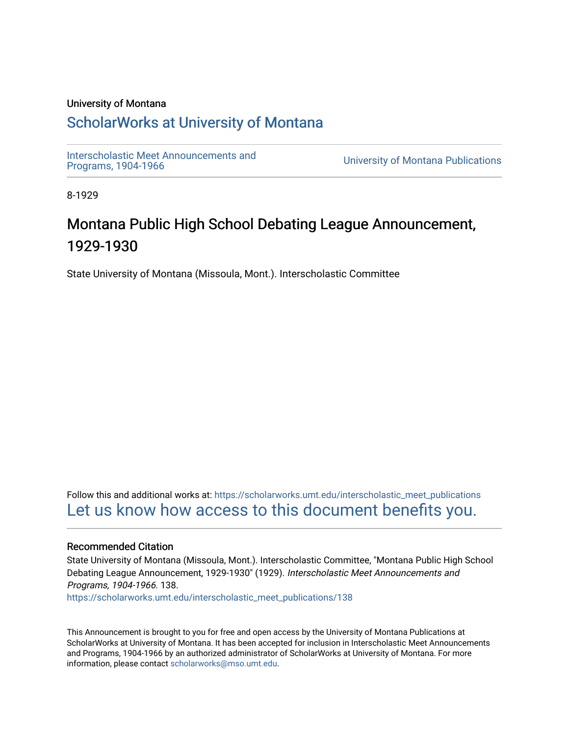### University of Montana

## [ScholarWorks at University of Montana](https://scholarworks.umt.edu/)

Interscholastic Meet Announcements and<br>Programs, 1904-1966

**University of Montana Publications** 

8-1929

## Montana Public High School Debating League Announcement, 1929-1930

State University of Montana (Missoula, Mont.). Interscholastic Committee

Follow this and additional works at: [https://scholarworks.umt.edu/interscholastic\\_meet\\_publications](https://scholarworks.umt.edu/interscholastic_meet_publications?utm_source=scholarworks.umt.edu%2Finterscholastic_meet_publications%2F138&utm_medium=PDF&utm_campaign=PDFCoverPages)  [Let us know how access to this document benefits you.](https://goo.gl/forms/s2rGfXOLzz71qgsB2) 

### Recommended Citation

State University of Montana (Missoula, Mont.). Interscholastic Committee, "Montana Public High School Debating League Announcement, 1929-1930" (1929). Interscholastic Meet Announcements and Programs, 1904-1966. 138.

[https://scholarworks.umt.edu/interscholastic\\_meet\\_publications/138](https://scholarworks.umt.edu/interscholastic_meet_publications/138?utm_source=scholarworks.umt.edu%2Finterscholastic_meet_publications%2F138&utm_medium=PDF&utm_campaign=PDFCoverPages) 

This Announcement is brought to you for free and open access by the University of Montana Publications at ScholarWorks at University of Montana. It has been accepted for inclusion in Interscholastic Meet Announcements and Programs, 1904-1966 by an authorized administrator of ScholarWorks at University of Montana. For more information, please contact [scholarworks@mso.umt.edu](mailto:scholarworks@mso.umt.edu).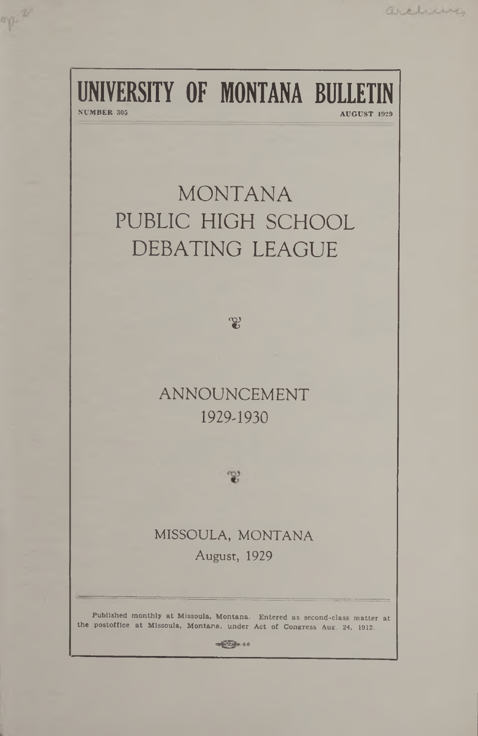# UNIVERSITY OF MONTANA BULLETIN

**NUMBER 305** 

mp. 21

**AUGUST 1929** 

archive,

# **MONTANA** PUBLIC HIGH SCHOOL DEBATING LEAGUE

 $\mathcal{P}$ 

## ANNOUNCEMENT 1929-1930

## $\mathbb{R}$

## MISSOULA, MONTANA August, 1929

Published monthly at Missoula, Montana. Entered as second-class matter at the postoffice at Missoula, Montana, under Act of Congress Aug. 24, 1912.

 $+230.68$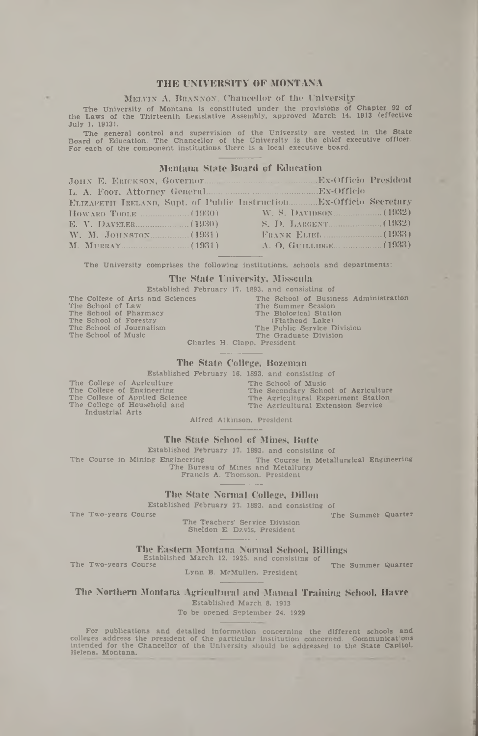### **THE UNIVERSITY OF MONTANA**

### Melvin A. Brannon, Chancellor of the University

**The University of Montana is constituted under the provisions of Chapter 92 of the Laws of the Thirteenth Legislative Assembly, approved March 14, 1913 (effective July 1, 1913).**

**The general control and supervision of the University are vested in the State Board of Education. The Chancellor of the University is the chief executive officer. For each of the component institutions there is a local executive board.**

### **Montana State Board of Education**

| ELIZAPETH IRELAND, Supt. of Public InstructionEx-Officio Secretary |
|--------------------------------------------------------------------|
|                                                                    |
|                                                                    |
|                                                                    |
|                                                                    |

**The University comprises the following institutions, schools and departments:**

### **The State University, Missoula**

|                     |                                  | Established February 17, 1893, and consisting of |  |                        |                             |                                       |
|---------------------|----------------------------------|--------------------------------------------------|--|------------------------|-----------------------------|---------------------------------------|
|                     | The College of Arts and Sciences |                                                  |  |                        |                             | The School of Business Administration |
| The School of Law   |                                  |                                                  |  | The Summer Session     |                             |                                       |
|                     | The School of Pharmacy           |                                                  |  | The Biological Station |                             |                                       |
|                     | The School of Forestry           |                                                  |  | (Flathead Lake)        |                             |                                       |
|                     | The School of Journalism         |                                                  |  |                        | The Public Service Division |                                       |
| The School of Music |                                  |                                                  |  | The Graduate Division  |                             |                                       |
|                     |                                  | Charles H. Clapp, President                      |  |                        |                             |                                       |

### **The State College, Bozeman**

**Established February 16, 1893, and consisting of**

**The School of Music**

**The Secondary School of Agriculture**

**The Agricultural Experiment Station The Agricultural Extension Service**

**Alfred Atkinson, President**

### **The State School of Mines, Butte**

**Established February 17. 1893, and consisting of**<br>The Course in Mining Engineering **The Course in Metal The Course in Mining Engineering The Course in Metallurgical Engineering The Bureau of Mines and Metallurgy Francis A. Thomson, President**

### **The State Normal College, Dillon**

**Established February 23, 1893, and consisting of**

**The Two-years Course The Summer Quarter** 

**The College of Agriculture The College of Engineering The College of Applied Science The College of Household and Industrial Arts**

**The Teachers\* Service Division Sheldon E. Davis, President**

## **The Eastern Montana Normal School, Billings Established March 12, 1925. and consisting of**

The Two-years Course **The Summer Quarter** 

**Lynn B. McMullen, President**

### **The Northern Montana Agricultural and Manual Training School, Havre**

**Established March 8, 1913**

**To be opened September 24, 1929**

For publications and detailed information concerning the different schools and<br>colleges address the president of the particular institution concerned. Communications<br>intended for the Chancellor of the University should be **Helena, Montana.**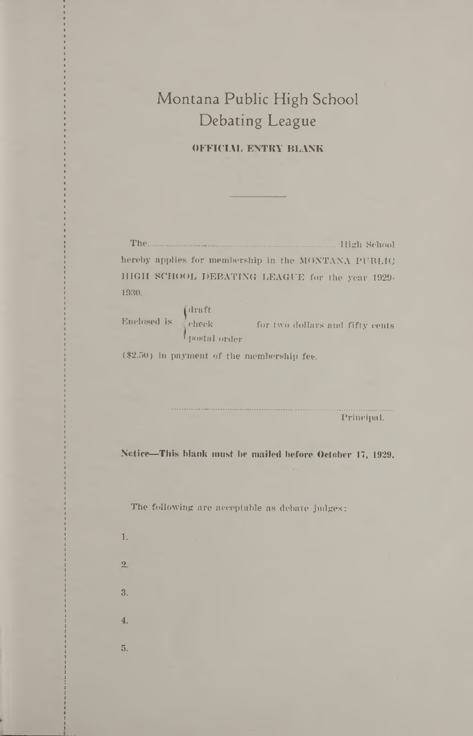## **Montana Public High School Debating League**

### **OFFICIAL ENTRY BLANK**

The...................................................................High School hereby applies for membership in the MONTANA PUBLIC HIGH SCHOOL DEBATING LEAGUE for the year 1929- 1930.

**| dra ft** Enclosed is  $\frac{1}{2}$  check for two dollars and fifty cents ' postal order

(\$2.50) in payment of the membership fee.

Principal.

**Notice—This blank must be mailed before October 17, 1929.**

The following are acceptable as debate judges:

**1.**

2

**3.**

**4.**

5.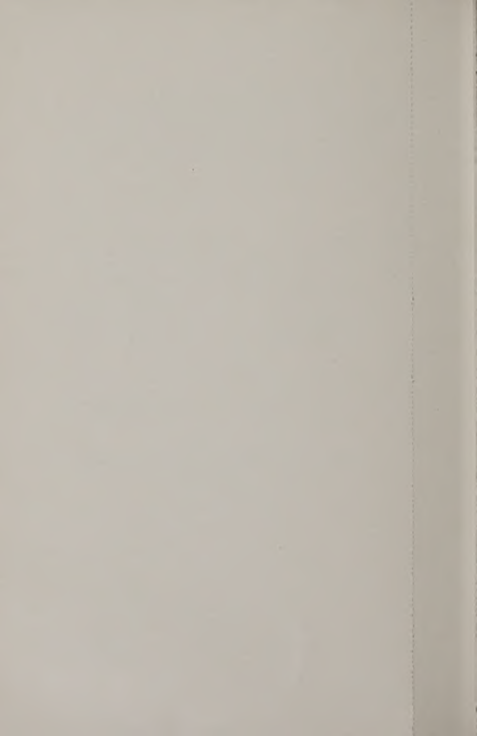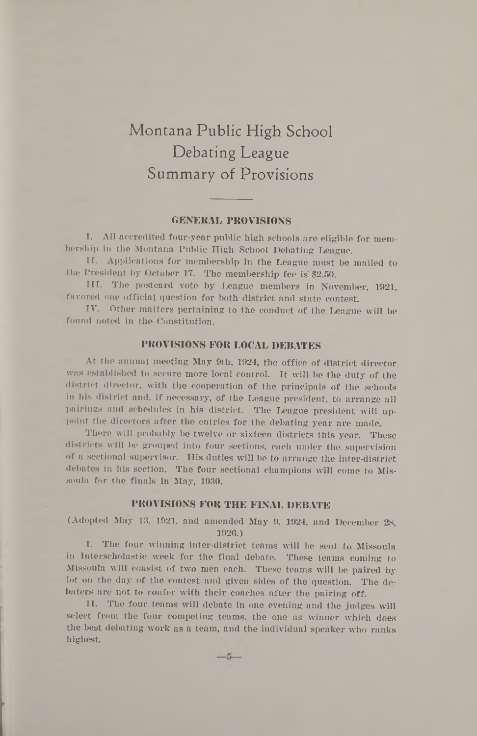## **Montana Public High School Debating League Summary of Provisions**

### **GENERAL PROVISIONS**

I. All accredited four-year public high schools are eligible for membership in the Montana Public High School Debating League.

II. Applications for membership in the League must be mailed to the President by October 17. The membership fee is \$2.50.

III. The postcard vote by League members in November, 1921, favored one official question for both district and state contest.

IV. Other matters pertaining to the conduct of the League will be found noted in the Constitution.

### **PROVISIONS FOR LOCAL DEBATES**

At the annual meeting May 9th, 1924, the office of district director was established to secure more local control. It will be the duty of the district director, with the cooperation of the principals of the schools in his district and, if necessary, of the League president, to arrange all pairings and schedules in his district. The League president will appoint the directors after the entries for the debating year are made.

There will probably be twelve or sixteen districts this year. These districts will be grouped into four sections, each under the supervision of a sectional supervisor. His duties will be to arrange the inter-district debates in his section. The four sectional champions will come to Missoula for the finals in May, 1930.

### **PROVISIONS FOR THE FINAL DEBATE**

(Adopted May 13, 1921, and amended May 9, 1924, and December 28, 1926.)

I. The four winning inter-district teams will be sent to Missoula in Interscholastic week for the final debate. These teams coming to Missoula will consist of two men each. These teams will be paired by lot on the day of the contest and given sides of the question. The debaters are not to confer with their coaches after the pairing off.

II. The four teams will debate in one evening and the judges will select from the four competing teams, the one as winner which does the best debating work as a team, and the individual speaker who ranks highest

 $-\sqrt{2}$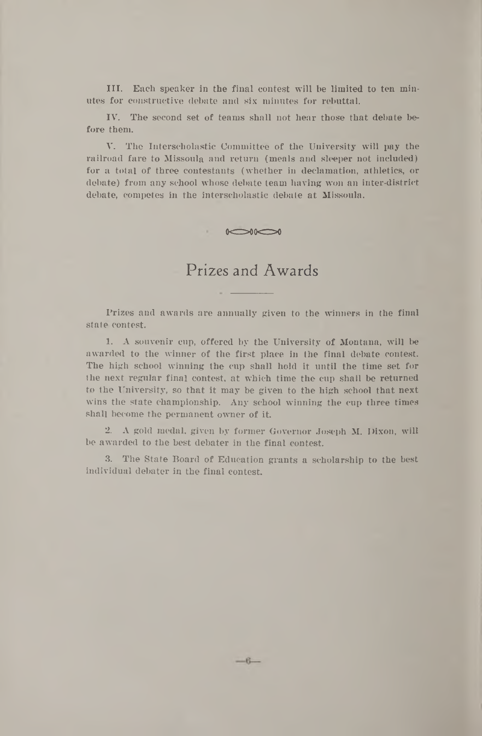III. Each speaker in the final contest will be limited to ten minutes for constructive debate and six minutes for rebuttal.

IV. The second set of teams shall not hear those that debate before them.

V. The Interscholastic Committee of the University will pay the railroad fare to Missoula and return (meals and sleeper not included) for a total of three contestants (whether in declamation, athletics, or debate) from any school whose debate team having won an inter-district debate, competes in the interscholastic debate at Missoula.

 $\sim$ 

**Prizes and Awards**

Prizes and awards are annually given to the winners in the final state contest.

1. A souvenir cup, offered by the University of Montana, will be awarded to the winner of the first place in the final debate contest The high school winning the cup shall hold it until the time set for the next regular final contest, at which time the cup shall be returned to the University, so that it may be given to the high school that next wins the state championship. Any school winning the cup three times shall become the permanent owner of it.

2. A gold medal, given by former Governor Joseph M. Dixon, will be awarded to the best debater in the final contest.

3. The State Board of Education grants a scholarship to the best individual debater in the final contest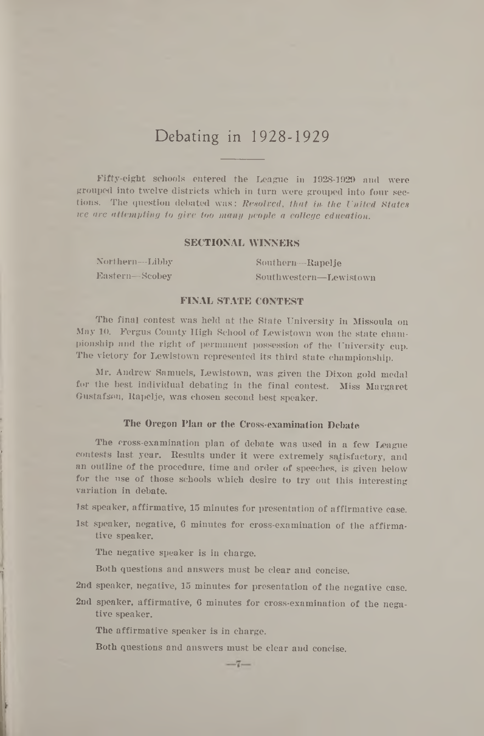## **Debating in 1928-1929**

Fifty-eight schools entered the League in 1928-1929 and were grouped into twelve districts which in turn were grouped into four sections. The question debated was: *Resolved, that in the United States we are attempting to give too many people a college education.*

### **SECTIONAL WINNERS**

Northern—Libby Southern—Rapelje Eastern—Scobey Southwestern—Lewistown

### **FINAL STATE CONTEST**

The final contest was held at the State University in Missoula on May 10. Fergus County High School of Lewistown won the state championship and the right of permanent possession of the University cup. The victory for Lewistown represented its third state championship.

Mr. Andrew Samuels, Lewistown, was given the Dixon gold medal for the best individual debating in the final contest. Miss Margaret Gustafson, Rapelje, was chosen second best speaker.

### **The Oregon Plan or the Cross-examination Debate**

The cross-examination plan of debate was used in a few League contests last year. Results under it were extremely satisfactory, and an outline of the procedure, time and order of speeches, is given below for the use of those schools which desire to try out this interesting variation in debate.

1st speaker, affirmative, 15 minutes for presentation of affirmative case.

1st speaker, negative, 6 minutes for cross-examination of the affirmative speaker.

The negative speaker is in charge.

Both questions and answers must be clear and concise.

2nd speaker, negative, 15 minutes for presentation of the negative case.

2nd speaker, affirmative, 6 minutes for cross-examination of the negative speaker.

The affirmative speaker is in charge.

Both questions and answers must be clear and concise.

 $-7-$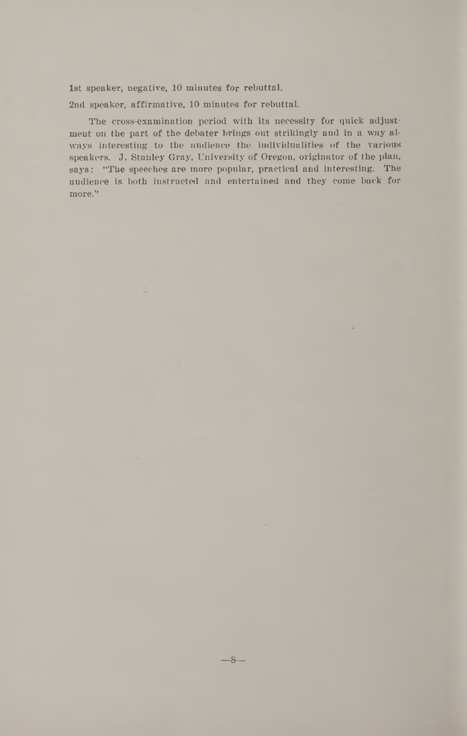1st speaker, negative, 10 minutes for rebuttal.

2nd speaker, affirmative, 10 minutes for rebuttal.

The cross-examination period with its necessity for quick adjustment on the part of the debater brings out strikingly and in a way always interesting to the audience the individualities of the various speakers. J. Stanley Gray, University of Oregon, originator of the plan, says: "The speeches are more popular, practical and interesting. The audience is both instructed and entertained and they come back for more."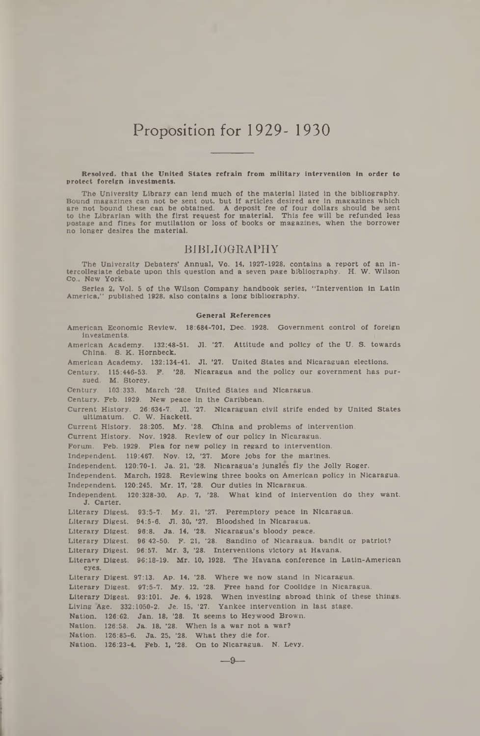## **Proposition for 1929- 1930**

**Resolved, that the United States refrain from military intervention in order to protect foreign investments.**

**The University Library can lend much of the material listed in the bibliography. Bound magazines can not be sent out, but if articles desired are in magazines which are not bound these can be obtained. A deposit fee of four dollars should be sent to the Librarian with the first request for material. This fee will be refunded less postage and fines for mutilation or loss of books or magazines, when the borrower no longer desires the material.**

### **BIBLIOGRAPHY**

**The University Debaters' Annual, Vo. 14, 1927-1928, contains a report of an intercollegiate debate upon this question and a seven page bibliography. H. W. Wilson Co., New York.**

**Series 2, Vol. 5 of the Wilson Company handbook series, ''Intervention in Latin America," published 1928, also contains a long bibliography.**

#### **General References**

American Economic Review. 18:684-701, Dec. 1928. Government control of foreign **investments.**

**Jl. '27. Attitude and policy of the U. S. towards** American Academy. **China. 8. K. Hornbeck.**

American Academy. 132:134-41. Jl. '27. United States and Nicaraguan elections.

Century. 115:446-53. F. '28. Nicaragua and the policy our government has pur**sued. M. Storey.**

**Century. 103:333. March '28. United States and Nicaragua.**

**Century. Feb. 1929. New peace in the Caribbean.**

**Current History. 26:634-7. Jl. '27. Nicaraguan civil strife ended by United States ultimatum. C. W. Hackett.**

**Current History. 28:205. My. '28. China and problems of intervention.**

**Current History. Nov. 1928. Review of our policy in Nicaragua.**

**Forum. Feb. 1929. Plea for new policy in regard to intervention.**

**119:467. Nov. 12, '27. More Jobs for the marines. Independent.**

**120:70-1. Ja. 21, '28. Nicaragua's jungles fly the Jolly Roger. Independent.**

**March, 1928. Reviewing three books on American policy in Nicaragua. Independent.** Independent. 120:245. Mr. 1<mark>7, '28. Our d</mark>uties in Nicaragua.

**120:328-30. Ap. 7, '28. What kind of intervention do they want. Independent. J. Carter.**

**Literary Digest. 93:5-7. My. 21, '27. Peremptory peace in Nicaragua.**

**Literary Digest. 94:5-6. Jl. 30, '27. Bloodshed in Nicaragua.**

**Literary Digest. 96:8. Ja. 14, '28. Nicaragua's bloody peace.**

**Literary Digest. 96\*42-50. F. 21, '28. Sandino of Nicaragua, bandit or patriot?**

**Literary Digest. 96:57. Mr. 3, '28. Interventions victory at Havana.**

Literary Digest. 96:18-19. Mr. 10, 1928. The Havana conference in Latin-American **eyes.**

**Literary Digest. 97:13. Ap. 14, \*28. Where we now stand in Nicaragua.**

**Literary Digest. 97:5-7. My. 12, '28. Free hand for Coolldge in Nicaragua.**

**Literary Digest. 93:101. Je. 4, 1928. When Investing abroad think of these things.**

**Living Age. 332:1050-2. Je. 15, '27. Yankee intervention in last stage.**

**Nation. 126:62. Jan. 18, '28. It seems to Hey wood Brown.**

**Nation. 126:58. Ja. 18, '28. When is a war not a war?**

**Nation. 126:85-6. Ja. 25, '28. What they die for.**

**Nation. 126:23-4. Feb. 1, '28. On to Nicaragua. N. Levy.**

— 9—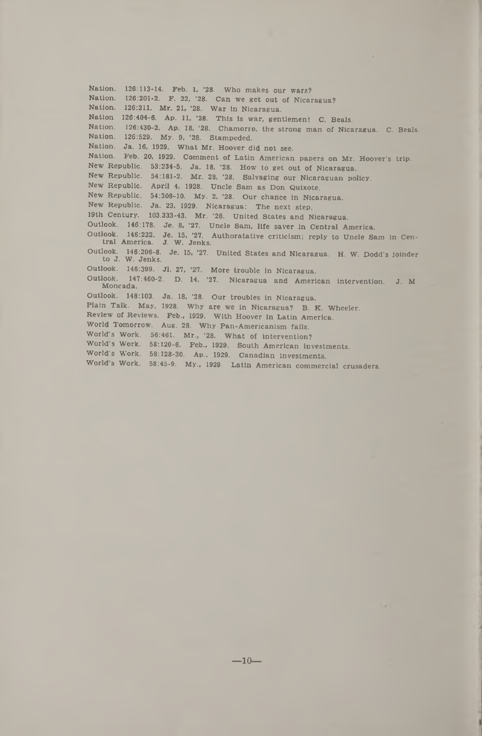**Nation. 126:113-14. Feb. 1, \*28. Who makes our wars? Nation. 126:201-2. F. 22, '28. Can we get out of Nicaragua? Nation. 126:311. Mr. 21, '28. War in Nicaragua. Nation 126:404-6. Ap. 11, '28. This is war, gentlemen! C. Beals.**<br>Nation. 126:430-2. Ap. 18, '28. Chamorro, the strong man of Nica 126:430-2. Ap. 18, '28. Chamorro, the strong man of Nicaragua. C. Beals. **Nation. 126:529. My. 9, '28. Stampeded. Nation. Ja. 16, 1929. What Mr. Hoover did not see. Nation. Feb. 20, 1929. Comment of Latin American papers on Mr. Hoover's trip. New Republic. 53:234-5. Ja. 18, '28. How to get out of Nicaragua. New Republic. 54:181-2. Mr. 28, '28. Salvaging our Nicaraguan policy. New Republic. April 4, 1928. Uncle Sam as Don Quixote. New Republic. 54:308-10. My. 2, '28. Our chance in Nicaragua. New Republic. Ja. 23, 1929. Nicaragua: The next step. 19th Century. 103.333-43. Mr. '28. United States and Nicaragua. Outlook. 146:178. Je. 8, '27. Uncle Sam, life saver in Central America. Outlook. 146:232. Je. 15, '27. Authoratative criticism; reply to Uncle Sam in Cen-tral America. J. W. Jenks. Outlook. 146:206-8. Je. 15, '27. United States and Nicaragua. H. W. Dodd's joinder** Outlook. 146:206-8.<br>to J. W. Jenks. **Outlook. 146:399. Jl. 27, '27. More trouble in Nicaragua. Outlook. 147:460-2. D. 14, '27. Nicaragua and American intervention. J. M. Moncada. Outlook. 148:103. Ja. 18, '28. Our troubles in Nicaragua. Plain Talk. May, 1928. Why are we in Nicaragua? B. K. Wheeler. Review of Reviews. Feb., 1929. With Hoover in Latin America. World Tomorrow. Aug. 28. Why Pan-Americanism fails. World's Work. 56:461. Mr., '28. What of intervention? World's Work. 58:120-6. Feb., 1929. South American investments. World's Work. 58:128-30. Ap., 1929. Canadian investments.**

**World s Work. 58:45-9. My., 1929. Latin American commercial crusaders. <**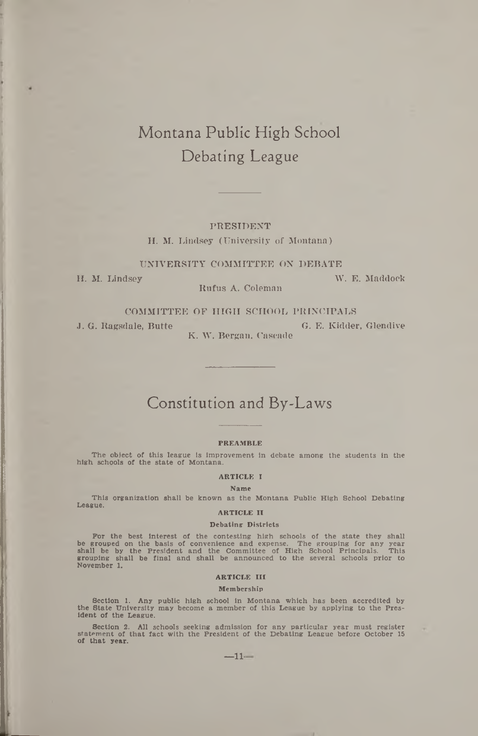## **Montana Public High School Debating League**

### PRESIDENT

H. M. Lindsey (University of Montana)

UNIVERSITY COMMITTEE ON DEBATE

Rufus A. Coleman

H. **M.** Lindsey W. E. Maddock

COMMITTEE OF HIGH SCHOOL PRINCIPALS

J. G. Ragsdale, Butte G. E. Kidder, Glendive

K. W. Bergan, Cascade

## **Constitution and By-Laws**

### **PREAMBLE**

**The object of this league is improvement in debate among the students in the high schools of the state of Montana.**

### **ARTICLE I**

**Name This organization shall be known as the Montana Public High School Debating League.**

#### **ARTICLE n**

#### **Debating Districts**

For the best interest of the contesting high schools of the state they shall<br>be grouped on the basis of convenience and expense. The grouping for any year<br>shall be by the President and the Committee of High School Principa

### **ARTICLE III**

#### **Membership**

**Section 1. Any public high school in Montana which has been accredited by the State University may become a member of this League by applying to the Pres-ident of the League.**

**Section 2. All schools seeking admission for any particular year must register statement of that fact with the President of the Debating League before October 15 of that year.**

 $-11-$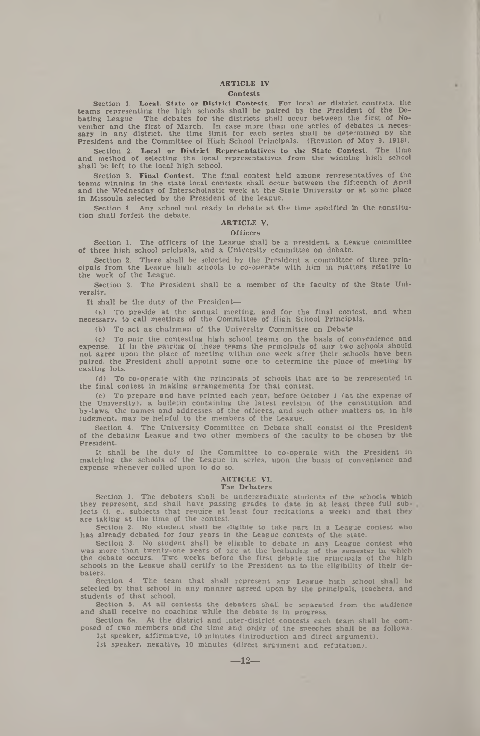### **ARTICLE IV Contests**

**Section 1. Local. State or District Contests. For local or district contests, the** teams representing the high schools shall be paired by the President of the Debating League. The debates for the districts shall occur between the first of No-<br>vember and the first of March. In case more than one series of

**Section 2. Local or District Representatives to the State Contest. The time and method of selecting the local representatives from the winning high school shall be left to the local high school.**

**Section 3. Final Contest. The final contest held among representatives of the teams winning in the state local contests shall occur between the fifteenth of April and the Wednesday of Interscholastic week at the State University or at some place in Missoula selected by the President of the league.**

**Section 4. Any school not ready to debate at the time specified in the constitution shall forfeit the debate.**

### **ARTICLE V.**

#### **Officers**

**Section 1. The officers of the League shall be a president, a League committee of three high school pricipals, and a University committee on debate.**

**Section 2. There shall be selected by the President a committee of three principals from the League high schools to co-operate with him in matters relative to the work of the League.**

**Section 3. The President shall be a member of the faculty of the State University.**

**It shall be the duty of the President—**

**(a) To preside at the annual meeting, and for the final contest, and when necessary, to call meetings of the Committee of High School Principals.**

**(b) To act as chairman of the University Committee on Debate.**

**(c) To pair the contesting high school teams on the basis of convenience and expense. If in the pairing of these teams the principals of any two schools should not agree upon the place of meeting within one week after their schools have been paired, the President shall appoint some one to determine the place of meeting by casting lots.**

**(d) To co-operate with the principals of schools that are to be represented in the final contest in making arrangements for that contest.**

(e) To prepare and have printed each year, before October 1 (at the expense of<br>the University), a builetin containing the latest revision of the constitution and<br>by-laws, the names and addresses of the officers, and such o **judgment, may be helpful to the members of the League.**

**Section 4. The University Committee on Debate shall consist of the President of the debating League and two other members of the faculty to be chosen by the President.**

**It shall be the duty of the Committee to co-operate with the President in matching the schools of the League in series, upon the basis of convenience and expense whenever called upon to do so.**

### **ARTICLE VL**

### **The Debaters**

Section 1. The debaters shall be undergraduate students of the schools which<br>they represent, and shall have passing grades to date in at least three full sub-<br>jects (i. e., subjects that require at least four recitations a **are taking at the time of the contest.**

**Section 2. No student shall be eligible to take part in a League contest who has already debated for four years in the League contests of the state.**

Section 3. No student shall be eligible to debate in any League contest who<br>was more than twenty-one years of age at the beginning of the semester in which<br>the debate occurs. Two weeks before the first debate the principal **schools in the League shall certify to the President as to the eligibility of their debaters.**

**Section 4. The team that shall represent any League high school shall be selected by that school in any manner agreed upon by the principals, teachers, and students of that school.**

**Section 5. At all contests the debaters shall be separated from the audience and shall receive no coaching while the debate is in progress.**

**Section 6a. At the district and inter-district contests each team shall be composed of two members and the time and order of the speeches shall be as follows: 1st speaker, affirmative, 10 minutes (introduction and direct argument).**

**1st speaker, negative, 10 minutes (direct argument and refutation).**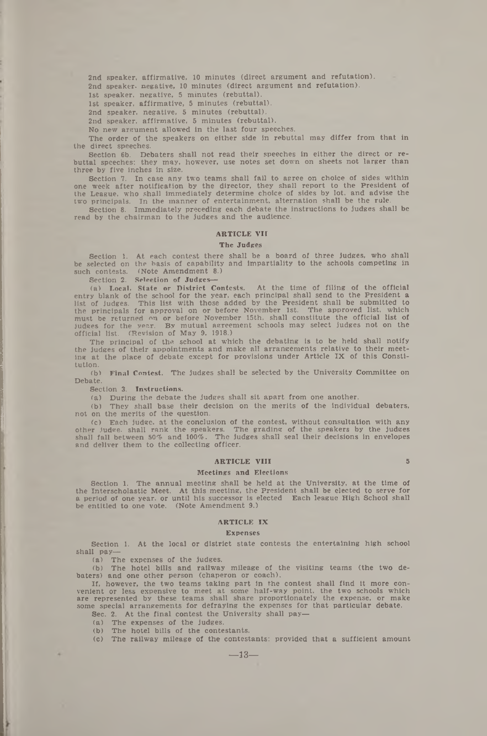**2nd speaker, affirmative, 10 minutes (direct argument and refutation). 2nd speaker- negative, 10 minutes (direct argument and refutation).**

**1st speaker, negative, 5 minutes (rebuttal).**

**1st speaker, affirmative, 5 minutes (rebuttal).**

**2nd speaker, negative, 5 minutes (rebuttal).**

**2nd speaker, affirmative, 5 minutes (rebuttal).**

**No new argument allowed in the last four speeches.**

**The order of the speakers on either side in rebuttal may differ from that in the direct speeches.**

**Section 6b. Debaters shall not read their speeches in either the direct or re-buttal speeches: they may, however, use notes set down on sheets not larger than three by five inches in size.**

**Section 7. In case any two teams shall fail to agree on choice of sides within one week after notification by the director, they shall report to the President of the League, who shall immediately determine choice of sides by lot, and advise the**

**two principals. In the manner of entertainment, alternation shall be the rule. Section 8. Immediately preceding each debate the instructions to judges shall be read by the chairman to the judges and the audience.**

### **ARTICLE VII**

#### **The Judges**

**Section 1. At each contest there shall be a board of three judges, who shall be selected on the basis of capability and impartiality to the schools competing in**

such contests. (Note Amendment 8.)<br>
Section 2. Selection of Judges—<br>
(a) Local. State or District Contests. At the time of filing of the official<br>
entry blank of the school for the year, each principal shall send to the Pr

**the judges of their appointments and make all arrangements relative to their meeting at the place of debate except for provisions under Article IX of this Constitution.**

**(b) Final Contest. The judges shall be selected by the University Committee on Debate.**

**Section 3. Instructions.**

**(a) During the debate the judges shall sit apart from one another. (b) They shall base their decision on the merits of the Individual debaters, not on the merits of the question.**

**(c) Each judge, at the conclusion of the contest, without consultation with any other judge, shall rank the speakers. The grading of the speakers by the judges shall fall between 50% and 100%. The judges shall seal their decisions in envelopes and deliver them to the collecting officer.**

#### **ARTICLE VIII 5**

#### **Meetings and Elections**

**Section 1. The annual meeting shall be held at the University, at the time of the Interscholastic Meet. At this meeting, the President shall be elected to serve for a period of one year, or until his successor is elected Each league High School shall be entitled to one vote. (Note Amendment 9.)**

### **ARTICLE IX**

#### **Expenses**

**Section 1. At the local or district state contests the entertaining high school shall pay—**

The expenses of the judges.

**(b) The hotel bills and railway mileage of the visiting teams (the two de-**

baters) and one other person (chaperon or coach).<br>If, however, the two teams taking part in the contest shall find it more con-<br>venient or less expensive to meet at some half-way point, the two schools which<br>are represente **some special arrangements for defraying the expenses for that particular debate.**

**Sec. 2. At the final contest the University shall pay—**

**(a) The expenses of the judges.**

**(b) The hotel bills of the contestants.**

**(c) The railway mileage of the contestants: provided that a sufficient amount**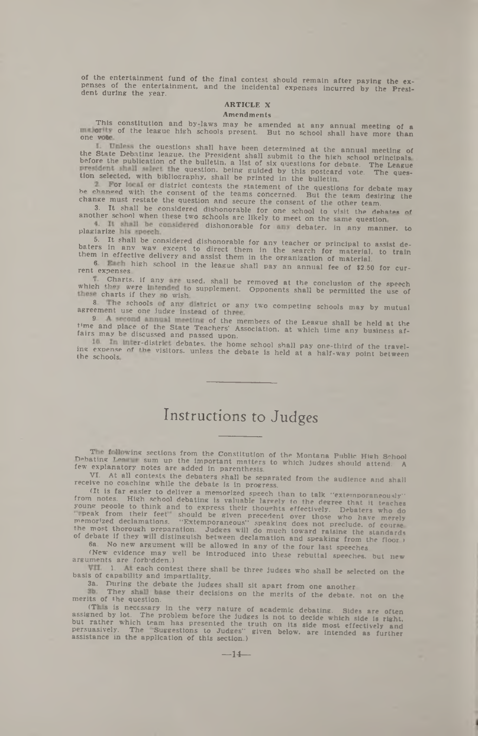of the entertainment fund of the final contest should remain after paying the expenses of the entertainment, and the incidental expenses incurred by the President during the year.

### **ARTICLE X**

#### Amendments

This constitution and by-laws may be amended at any annual meeting of a mologically of the league high schools present. But no school shall have more than one vote.

the state behaviors shall have been determined at the annual meeting of<br>the State Debating league, the President shall submit to the high school principals<br>before the publication of the bulletin, a list of six questions fo president shall select the question, being guided by this postcard vote. The question selected, with bibliography, shall be printed in the bulletin

For local or district contests the statement of the questions for debate may<br>be changed with the consent of the teams concerned. But the team desiring the chanke must restate the question and secure the consent of the other team.

3. It shall be considered dishonorable for one school to visit the debates of another school when these two schools are likely to meet on the same question.

4. It shall be considered dishonorable for any debater, in any manner, to plagiarize his speech.

5. It shall be considered dishonorable for any teacher or principal to assist debaters in any wav except to direct them in the search for minerial, to train<br>them in effective delivery and assist them in the search for material, to train<br>them in effective delivery and assist them in the organization of

6. I'm high school in the league shall pay an annual fee of \$2.50 for current expenses

. Charts, if any used, shall be removed at the conclusion of the speech which the were intended to supplement. Opponents shall be permitted the use of these charts if they so wish.

8 The schools of any district or any two competing schools may by mutual agreement use one fudge instead of three

9. A second annual meeting of the members of the League shall be held at the time and place of the State Teachers' Association, at which time any business affairs may be discussed and passed upon.

10 In inter-district debates, the home school shall pay one-third of the traveling expense of the visitors, unless the debate is held at a half-way point between

## Instructions to Judges

The following sections from the Constitution of the Montana Public High School Debating Lease sum up the important matters to which judges should attend. A few explanatory notes are added in parenthesis.

VI. At all contests the debaters shall be separated from the audience and shall receive no coaching while the debate is in progress.

(It is far easier to deliver a memorized speech than to talk "extemporaneously" It is tar easier to deliver a memorized speech than to talk "extemporaneously"<br>from notes. High school debating is valuable largely to the degree that it teaches<br>youne people to think and to express their thoughts effectiv of debate if they will distinguish between declamation and speaking from the floor

6a. No new argument will be allowed in any of the four last speeches

(New evidence may well be introduced into these rebuttal speeches, but new arguments are forbidden.)

VII. 1. At each contest there shall be three judges who shall be selected on the basis of capability and impartiality.

3a. During the debate the judges shall sit apart from one another<br>3b. They shall base their decisions on the merits of the debate, not on the merits of the question.

(This is nectssary in the very nature of academic debating. the single by lot. The problem before the judges is not to decide which side is right;<br>assigned by lot. The problem before the judges' is not to decide which is<br>de most effectively and<br>persuasively. The "Suggestions to Jud assistance in the application of this section.)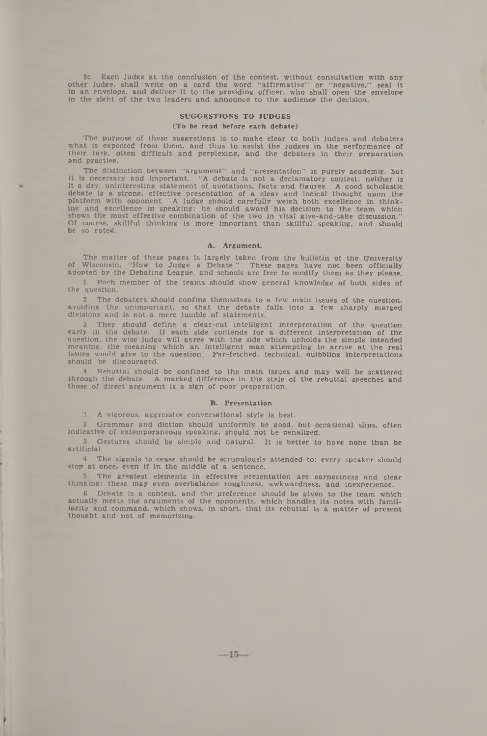**3c. Each judge at the conclusion of the contest, without consultation with any other judge, shall write on a card the word "affirmative" or "negative," seal it in an envelope, and deliver it to the presiding officer, who shall open the envelope in the sight of the two leaders and announce to the audience the decision.**

### **SUGGESTIONS TO JUDGES**

### **(To be read before each debate)**

The purpose of these suggestions is to make clear to both judges and debaters<br>what is expected from them, and thus to assist the judges in the performance of<br>their task, often difficult and perplexing, and the debaters in **and practice.**

**The distinction between "argument" and "presentation" is purely academic, but it is necessary and important. "A debate is not a declamatory contest; neither is** it a dry, uninteresting statement of quotations, facts and figures. debate is a strong, effective presentation of a clear and logical thought upon the<br>platform with opponent. A judge should carefully weigh both excellence in think-<br>ing and excellence in speaking: he should award his decisi **shows the most effective combination of the two in vital give-and-take discussion." Of course, skillful thinking is more important than skillful speaking, and should be so rated.**

#### **A. Argument.**

The matter of these pages is largely taken from the bulletin of the University<br>of Wisconsin, "How to Judge a Debate." These pages have not been officially<br>adopted by the Debating League, and schools are free to modify them

**1. Each member of the teams should show general knowledge of both sides of the question.**

**2. The debaters should confine themselves to a few main issues of the question, avoiding the unimportant, so that the debate falls into a few sharply marged divisions and is not a mere jumble of statements.**

3. They should define a clear-cut intelligent interpretation of the question early in the debate. If each side contends for a different interpretation of the question, the wise judge will agree with the side which upholds **issues would give to the question. Far-fetched, technical, quibbling interpretations should be discouraged.**

**4. Rebuttal should be confined to the main issues and may well be scattered through the debate. A marked difference in the style of the rebuttal speeches and those of direct argument is a sign of poor preparation.**

#### **B. Presentation**

**1. A vigorous, aggressive conversational style is best.**

**2. Grammar and diction should uniformly be good, but occasional slips, often indicative of extemporaneous speaking, should not be penalized.**

**3. Gestures should be simple and natural. It is better to have none than be artificial.**

**4. Tho signals to cease should be scrupulously attended to; every speaker should 8top at once, even if in the middle of a sentence.**

**5. The greatest elements in effective presentation are earnestness and clear thinking; these may even overbalance roughness, awkwardness, and inexperience.**

**6. Debate is a contest, and the preference should be given to the team which actually meets the arguments of the opponents, which handles its notes with familiarity and command, which shows, in short, that its rebuttal is a matter of present thought and not of memorizing.**

 $-15-$